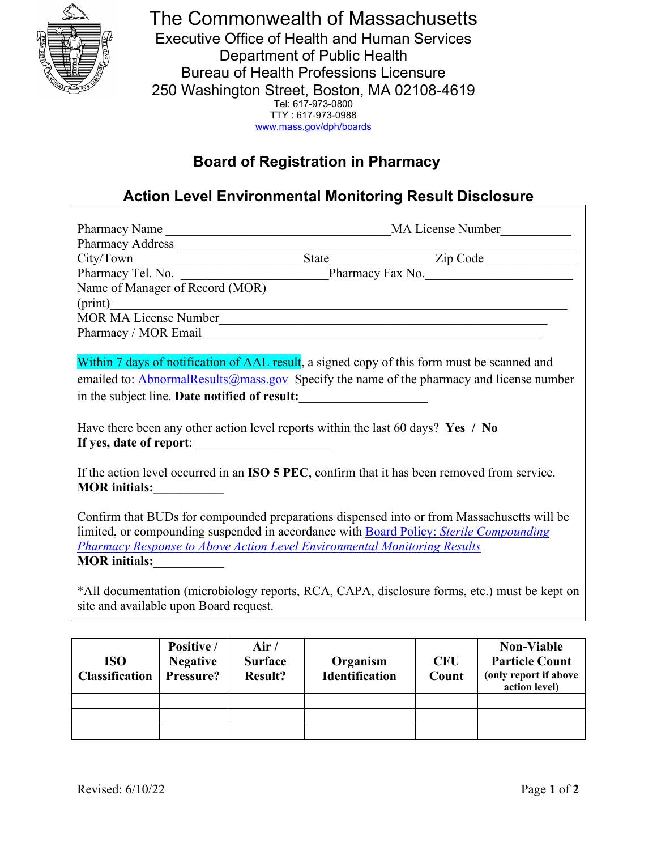

The Commonwealth of Massachusetts Executive Office of Health and Human Services Department of Public Health Bureau of Health Professions Licensure 250 Washington Street, Boston, MA 02108-4619 Tel: 617-973-0800 TTY : 617-973-0988 [www.mass.gov/dph/boards](http://www.mass.gov/dph/boards)

# **Board of Registration in Pharmacy**

# **Action Level Environmental Monitoring Result Disclosure**

| Pharmacy Name                          |            |      |                                                                                              | MA License Number                                                                                |
|----------------------------------------|------------|------|----------------------------------------------------------------------------------------------|--------------------------------------------------------------------------------------------------|
|                                        |            |      |                                                                                              |                                                                                                  |
|                                        |            |      |                                                                                              |                                                                                                  |
|                                        |            |      |                                                                                              |                                                                                                  |
| Name of Manager of Record (MOR)        |            |      |                                                                                              |                                                                                                  |
|                                        |            |      |                                                                                              |                                                                                                  |
|                                        |            |      | MOR MA License Number                                                                        |                                                                                                  |
|                                        |            |      |                                                                                              |                                                                                                  |
|                                        |            |      |                                                                                              |                                                                                                  |
|                                        |            |      | Within 7 days of notification of AAL result, a signed copy of this form must be scanned and  |                                                                                                  |
|                                        |            |      |                                                                                              | emailed to: <b>AbnormalResults</b> @mass.gov Specify the name of the pharmacy and license number |
|                                        |            |      | in the subject line. Date notified of result:                                                |                                                                                                  |
|                                        |            |      |                                                                                              |                                                                                                  |
|                                        |            |      | Have there been any other action level reports within the last 60 days? Yes / No             |                                                                                                  |
| If yes, date of report:                |            |      |                                                                                              |                                                                                                  |
|                                        |            |      |                                                                                              |                                                                                                  |
|                                        |            |      | If the action level occurred in an ISO 5 PEC, confirm that it has been removed from service. |                                                                                                  |
| <b>MOR</b> initials:                   |            |      |                                                                                              |                                                                                                  |
|                                        |            |      |                                                                                              |                                                                                                  |
|                                        |            |      |                                                                                              | Confirm that BUDs for compounded preparations dispensed into or from Massachusetts will be       |
|                                        |            |      | limited, or compounding suspended in accordance with Board Policy: Sterile Compounding       |                                                                                                  |
|                                        |            |      | <b>Pharmacy Response to Above Action Level Environmental Monitoring Results</b>              |                                                                                                  |
| MOR initials:                          |            |      |                                                                                              |                                                                                                  |
|                                        |            |      |                                                                                              |                                                                                                  |
|                                        |            |      |                                                                                              | *All documentation (microbiology reports, RCA, CAPA, disclosure forms, etc.) must be kept on     |
| site and available upon Board request. |            |      |                                                                                              |                                                                                                  |
|                                        |            |      |                                                                                              |                                                                                                  |
|                                        |            |      |                                                                                              |                                                                                                  |
|                                        | Positive / | Air/ |                                                                                              | <b>Non-Viable</b>                                                                                |

| <b>ISO</b><br><b>Classification</b> | Positive /<br><b>Negative</b><br>Pressure? | Air /<br><b>Surface</b><br><b>Result?</b> | Organism<br><b>Identification</b> | <b>CFU</b><br>Count | <b>Non-Viable</b><br><b>Particle Count</b><br>(only report if above<br>action level) |
|-------------------------------------|--------------------------------------------|-------------------------------------------|-----------------------------------|---------------------|--------------------------------------------------------------------------------------|
|                                     |                                            |                                           |                                   |                     |                                                                                      |
|                                     |                                            |                                           |                                   |                     |                                                                                      |
|                                     |                                            |                                           |                                   |                     |                                                                                      |